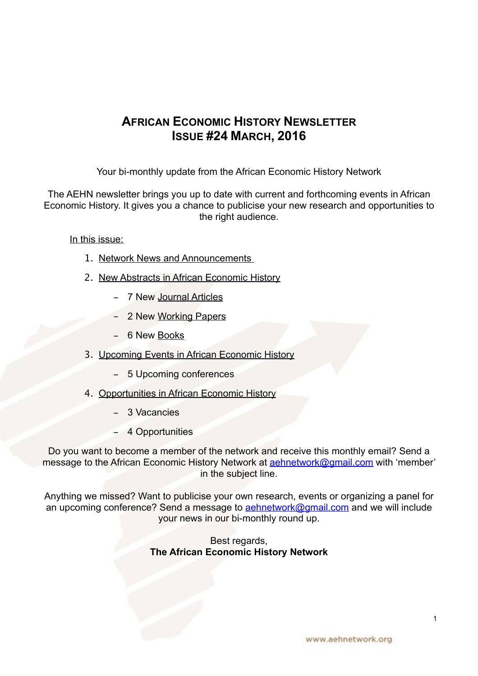## **AFRICAN ECONOMIC HISTORY NEWSLETTER ISSUE #24 MARCH, 2016**

Your bi-monthly update from the African Economic History Network

The AEHN newsletter brings you up to date with current and forthcoming events in African Economic History. It gives you a chance to publicise your new research and opportunities to the right audience.

In this issue:

- 1. [Network News and Announcements](#page-1-0)
- 2. [New Abstracts in African Economic History](#page-2-0)
	- 7 New [Journal Articles](#page-2-1)
	- 2 New [Working Papers](#page-4-0)
	- 6 New Books
- 3. Upcoming Events in African Economic History
	- 5 Upcoming conferences
- 4. [Opportunities in African Economic History](#page-12-0)
	- 3 Vacancies
	- 4 Opportunities

Do you want to become a member of the network and receive this monthly email? Send a message to the African Economic History Network at **aehnetwork@gmail.com** with 'member' in the subject line.

Anything we missed? Want to publicise your own research, events or organizing a panel for an upcoming conference? Send a message to **aehnetwork@gmail.com** and we will include your news in our bi-monthly round up.

> Best regards, **The African Economic History Network**

1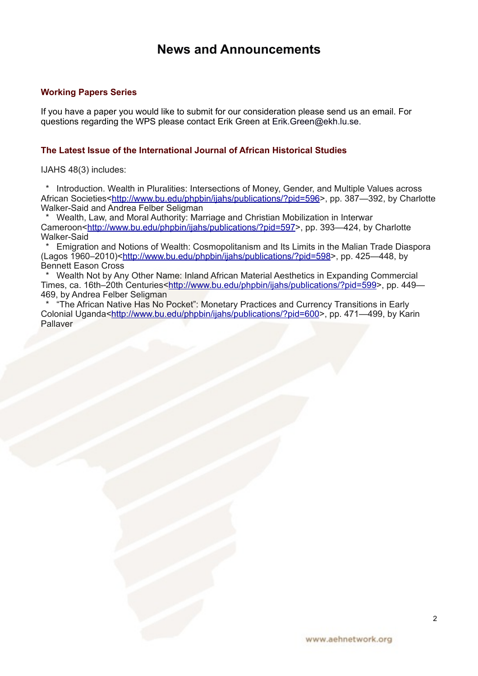## <span id="page-1-0"></span>**News and Announcements**

## **Working Papers Series**

If you have a paper you would like to submit for our consideration please send us an email. For questions regarding the WPS please contact Erik Green at Erik.Green@ekh.lu.se.

## **The Latest Issue of the International Journal of African Historical Studies**

IJAHS 48(3) includes:

 \* Introduction. Wealth in Pluralities: Intersections of Money, Gender, and Multiple Values across African Societies[<http://www.bu.edu/phpbin/ijahs/publications/?pid=596](http://www.bu.edu/phpbin/ijahs/publications/?pid=596)>, pp. 387-392, by Charlotte Walker-Said and Andrea Felber Seligman

 \* Wealth, Law, and Moral Authority: Marriage and Christian Mobilization in Interwar Cameroon<[http://www.bu.edu/phpbin/ijahs/publications/?pid=597>](http://www.bu.edu/phpbin/ijahs/publications/?pid=597), pp. 393—424, by Charlotte Walker-Said

 \* Emigration and Notions of Wealth: Cosmopolitanism and Its Limits in the Malian Trade Diaspora (Lagos 1960–2010)<[http://www.bu.edu/phpbin/ijahs/publications/?pid=598>](http://www.bu.edu/phpbin/ijahs/publications/?pid=598), pp. 425—448, by Bennett Eason Cross

 \* Wealth Not by Any Other Name: Inland African Material Aesthetics in Expanding Commercial Times, ca. 16th–20th Centuries<[http://www.bu.edu/phpbin/ijahs/publications/?pid=599>](http://www.bu.edu/phpbin/ijahs/publications/?pid=599), pp. 449— 469, by Andrea Felber Seligman

 \* "The African Native Has No Pocket": Monetary Practices and Currency Transitions in Early Colonial Uganda<[http://www.bu.edu/phpbin/ijahs/publications/?pid=600>](http://www.bu.edu/phpbin/ijahs/publications/?pid=600), pp. 471—499, by Karin **Pallaver**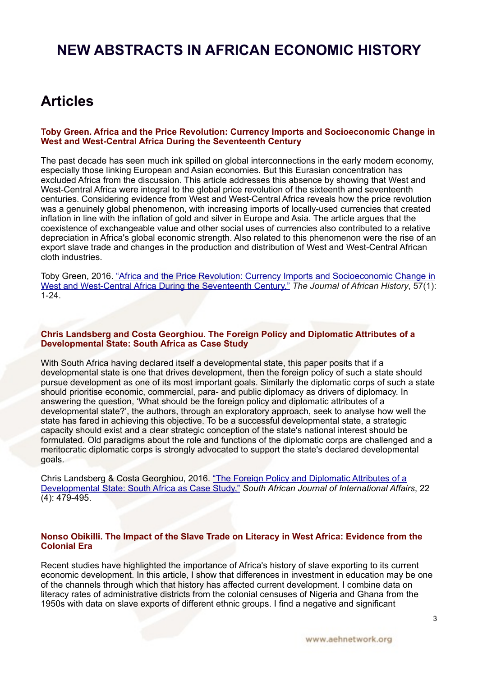# <span id="page-2-0"></span>**NEW ABSTRACTS IN AFRICAN ECONOMIC HISTORY**

## <span id="page-2-1"></span>**Articles**

#### **Toby Green. Africa and the Price Revolution: Currency Imports and Socioeconomic Change in West and West-Central Africa During the Seventeenth Century**

The past decade has seen much ink spilled on global interconnections in the early modern economy, especially those linking European and Asian economies. But this Eurasian concentration has excluded Africa from the discussion. This article addresses this absence by showing that West and West-Central Africa were integral to the global price revolution of the sixteenth and seventeenth centuries. Considering evidence from West and West-Central Africa reveals how the price revolution was a genuinely global phenomenon, with increasing imports of locally-used currencies that created inflation in line with the inflation of gold and silver in Europe and Asia. The article argues that the coexistence of exchangeable value and other social uses of currencies also contributed to a relative depreciation in Africa's global economic strength. Also related to this phenomenon were the rise of an export slave trade and changes in the production and distribution of West and West-Central African cloth industries.

Toby Green, 2016[. "Africa and the Price Revolution: Currency Imports and Socioeconomic Change in](http://journals.cambridge.org/action/displayAbstract?fromPage=online&aid=10189235&fulltextType=RA&fileId=S0021853715000754)  [West and West-Central Africa During the Seventeenth Century,"](http://journals.cambridge.org/action/displayAbstract?fromPage=online&aid=10189235&fulltextType=RA&fileId=S0021853715000754) *The Journal of African History*, 57(1): 1-24.

#### **Chris Landsberg and Costa Georghiou. The Foreign Policy and Diplomatic Attributes of a Developmental State: South Africa as Case Study**

With South Africa having declared itself a developmental state, this paper posits that if a developmental state is one that drives development, then the foreign policy of such a state should pursue development as one of its most important goals. Similarly the diplomatic corps of such a state should prioritise economic, commercial, para- and public diplomacy as drivers of diplomacy. In answering the question, 'What should be the foreign policy and diplomatic attributes of a developmental state?', the authors, through an exploratory approach, seek to analyse how well the state has fared in achieving this objective. To be a successful developmental state, a strategic capacity should exist and a clear strategic conception of the state's national interest should be formulated. Old paradigms about the role and functions of the diplomatic corps are challenged and a meritocratic diplomatic corps is strongly advocated to support the state's declared developmental goals.

Chris Landsberg & Costa Georghiou, 2016. ["The Foreign Policy and Diplomatic Attributes of a](http://www.tandfonline.com/doi/full/10.1080/10220461.2015.1124805)  [Developmental State: South Africa as Case Study,"](http://www.tandfonline.com/doi/full/10.1080/10220461.2015.1124805) *South African Journal of International Affairs*, 22 (4): 479-495.

#### **Nonso Obikilli. The Impact of the Slave Trade on Literacy in West Africa: Evidence from the Colonial Era**

Recent studies have highlighted the importance of Africa's history of slave exporting to its current economic development. In this article, I show that differences in investment in education may be one of the channels through which that history has affected current development. I combine data on literacy rates of administrative districts from the colonial censuses of Nigeria and Ghana from the 1950s with data on slave exports of different ethnic groups. I find a negative and significant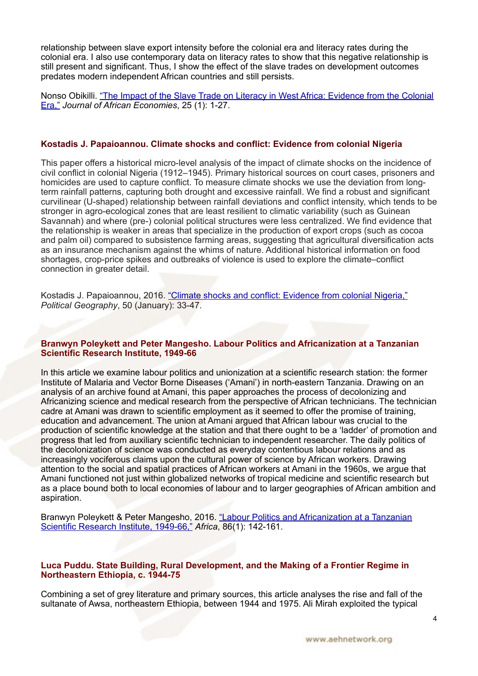relationship between slave export intensity before the colonial era and literacy rates during the colonial era. I also use contemporary data on literacy rates to show that this negative relationship is still present and significant. Thus, I show the effect of the slave trades on development outcomes predates modern independent African countries and still persists.

Nonso Obikilli. ["The Impact of the Slave Trade on Literacy in West Africa: Evidence from the Colonial](http://jae.oxfordjournals.org/content/25/1/1.abstract)  [Era,"](http://jae.oxfordjournals.org/content/25/1/1.abstract) *Journal of African Economies*, 25 (1): 1-27.

## **Kostadis J. Papaioannou. Climate shocks and conflict: Evidence from colonial Nigeria**

This paper offers a historical micro-level analysis of the impact of climate shocks on the incidence of civil conflict in colonial Nigeria (1912–1945). Primary historical sources on court cases, prisoners and homicides are used to capture conflict. To measure climate shocks we use the deviation from longterm rainfall patterns, capturing both drought and excessive rainfall. We find a robust and significant curvilinear (U-shaped) relationship between rainfall deviations and conflict intensity, which tends to be stronger in agro-ecological zones that are least resilient to climatic variability (such as Guinean Savannah) and where (pre-) colonial political structures were less centralized. We find evidence that the relationship is weaker in areas that specialize in the production of export crops (such as cocoa and palm oil) compared to subsistence farming areas, suggesting that agricultural diversification acts as an insurance mechanism against the whims of nature. Additional historical information on food shortages, crop-price spikes and outbreaks of violence is used to explore the climate–conflict connection in greater detail.

Kostadis J. Papaioannou, 2016. ["Climate shocks and conflict: Evidence from colonial Nigeria,"](http://www.sciencedirect.com/science/article/pii/S0962629815000578) *Political Geography*, 50 (January): 33-47.

#### **Branwyn Poleykett and Peter Mangesho. Labour Politics and Africanization at a Tanzanian Scientific Research Institute, 1949-66**

In this article we examine labour politics and unionization at a scientific research station: the former Institute of Malaria and Vector Borne Diseases ('Amani') in north-eastern Tanzania. Drawing on an analysis of an archive found at Amani, this paper approaches the process of decolonizing and Africanizing science and medical research from the perspective of African technicians. The technician cadre at Amani was drawn to scientific employment as it seemed to offer the promise of training, education and advancement. The union at Amani argued that African labour was crucial to the production of scientific knowledge at the station and that there ought to be a 'ladder' of promotion and progress that led from auxiliary scientific technician to independent researcher. The daily politics of the decolonization of science was conducted as everyday contentious labour relations and as increasingly vociferous claims upon the cultural power of science by African workers. Drawing attention to the social and spatial practices of African workers at Amani in the 1960s, we argue that Amani functioned not just within globalized networks of tropical medicine and scientific research but as a place bound both to local economies of labour and to larger geographies of African ambition and aspiration.

Branwyn Poleykett & Peter Mangesho, 2016. ["Labour Politics and Africanization at a Tanzanian](http://journals.cambridge.org/action/displayAbstract?fromPage=online&aid=10115904&fulltextType=RA&fileId=S0001972015000820)  [Scientific Research Institute, 1949-66,"](http://journals.cambridge.org/action/displayAbstract?fromPage=online&aid=10115904&fulltextType=RA&fileId=S0001972015000820) *Africa*, 86(1): 142-161.

#### **Luca Puddu. State Building, Rural Development, and the Making of a Frontier Regime in Northeastern Ethiopia, c. 1944-75**

Combining a set of grey literature and primary sources, this article analyses the rise and fall of the sultanate of Awsa, northeastern Ethiopia, between 1944 and 1975. Ali Mirah exploited the typical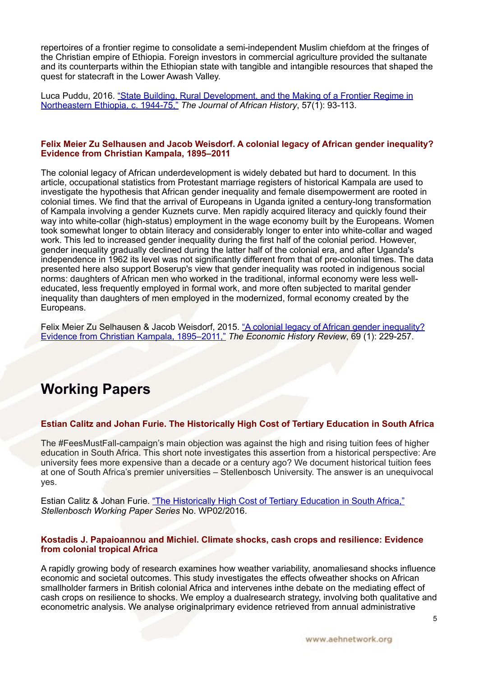repertoires of a frontier regime to consolidate a semi-independent Muslim chiefdom at the fringes of the Christian empire of Ethiopia. Foreign investors in commercial agriculture provided the sultanate and its counterparts within the Ethiopian state with tangible and intangible resources that shaped the quest for statecraft in the Lower Awash Valley.

Luca Puddu, 2016. ["State Building, Rural Development, and the Making of a Frontier Regime in](http://journals.cambridge.org/action/displayAbstract?fromPage=online&aid=10189273&fulltextType=RA&fileId=S0021853715000778)  [Northeastern Ethiopia, c. 1944-75,"](http://journals.cambridge.org/action/displayAbstract?fromPage=online&aid=10189273&fulltextType=RA&fileId=S0021853715000778) *The Journal of African History*, 57(1): 93-113.

## **Felix Meier Zu Selhausen and Jacob Weisdorf. A colonial legacy of African gender inequality? Evidence from Christian Kampala, 1895–2011**

The colonial legacy of African underdevelopment is widely debated but hard to document. In this article, occupational statistics from Protestant marriage registers of historical Kampala are used to investigate the hypothesis that African gender inequality and female disempowerment are rooted in colonial times. We find that the arrival of Europeans in Uganda ignited a century-long transformation of Kampala involving a gender Kuznets curve. Men rapidly acquired literacy and quickly found their way into white-collar (high-status) employment in the wage economy built by the Europeans. Women took somewhat longer to obtain literacy and considerably longer to enter into white-collar and waged work. This led to increased gender inequality during the first half of the colonial period. However, gender inequality gradually declined during the latter half of the colonial era, and after Uganda's independence in 1962 its level was not significantly different from that of pre-colonial times. The data presented here also support Boserup's view that gender inequality was rooted in indigenous social norms: daughters of African men who worked in the traditional, informal economy were less welleducated, less frequently employed in formal work, and more often subjected to marital gender inequality than daughters of men employed in the modernized, formal economy created by the Europeans.

Felix Meier Zu Selhausen & Jacob Weisdorf, 2015. ["A colonial legacy of African gender inequality?](http://onlinelibrary.wiley.com/doi/10.1111/ehr.12120/abstract)  [Evidence from Christian Kampala, 1895–2011,"](http://onlinelibrary.wiley.com/doi/10.1111/ehr.12120/abstract) *The Economic History Review*, 69 (1): 229-257.

# <span id="page-4-0"></span>**Working Papers**

## **Estian Calitz and Johan Furie. The Historically High Cost of Tertiary Education in South Africa**

The #FeesMustFall-campaign's main objection was against the high and rising tuition fees of higher education in South Africa. This short note investigates this assertion from a historical perspective: Are university fees more expensive than a decade or a century ago? We document historical tuition fees at one of South Africa's premier universities – Stellenbosch University. The answer is an unequivocal yes.

Estian Calitz & Johan Furie. "The Historically High Cost of Tertiary Education in South Africa," *Stellenbosch Working Paper Series* No. WP02/2016.

## **Kostadis J. Papaioannou and Michiel. Climate shocks, cash crops and resilience: Evidence from colonial tropical Africa**

A rapidly growing body of research examines how weather variability, anomaliesand shocks influence economic and societal outcomes. This study investigates the effects ofweather shocks on African smallholder farmers in British colonial Africa and intervenes inthe debate on the mediating effect of cash crops on resilience to shocks. We employ a dualresearch strategy, involving both qualitative and econometric analysis. We analyse originalprimary evidence retrieved from annual administrative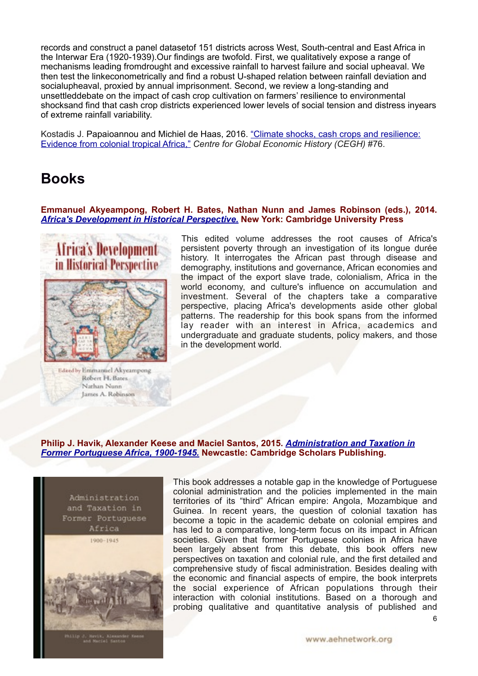records and construct a panel datasetof 151 districts across West, South-central and East Africa in the Interwar Era (1920-1939).Our findings are twofold. First, we qualitatively expose a range of mechanisms leading fromdrought and excessive rainfall to harvest failure and social upheaval. We then test the linkeconometrically and find a robust U-shaped relation between rainfall deviation and socialupheaval, proxied by annual imprisonment. Second, we review a long-standing and unsettleddebate on the impact of cash crop cultivation on farmers' resilience to environmental shocksand find that cash crop districts experienced lower levels of social tension and distress inyears of extreme rainfall variability.

Kostadis J. Papaioannou and Michiel de Haas, 2016. "Climate shocks, cash crops and resilience: [Evidence from colonial tropical Africa,"](http://www.cgeh.nl/climate-shocks-cash-crops-and-resilience-evidence-colonial-tropical-africa) *Centre for Global Economic History (CEGH)* #76.

## **Books**

#### **Emmanuel Akyeampong, Robert H. Bates, Nathan Nunn and James Robinson (eds.), 2014.**  *[Africa's Development in Historical Perspective.](http://www.cambridge.org/us/academic/subjects/economics/economic-development-and-growth/africas-development-historical-perspective)* **New York: Cambridge University Press**



Edited by Emmanuel Akyeampone Robert H. Bates Nathan Nunn James A. Robinson

This edited volume addresses the root causes of Africa's persistent poverty through an investigation of its longue durée history. It interrogates the African past through disease and demography, institutions and governance, African economies and the impact of the export slave trade, colonialism, Africa in the world economy, and culture's influence on accumulation and investment. Several of the chapters take a comparative perspective, placing Africa's developments aside other global patterns. The readership for this book spans from the informed lay reader with an interest in Africa, academics and undergraduate and graduate students, policy makers, and those in the development world.

## **Philip J. Havik, Alexander Keese and Maciel Santos, 2015.** *[Administration and Taxation in](http://www.cambridgescholars.com/administration-and-taxation-in-former-portuguese-africa)  [Former Portuguese Africa, 1900-1945.](http://www.cambridgescholars.com/administration-and-taxation-in-former-portuguese-africa)* **Newcastle: Cambridge Scholars Publishing.**



This book addresses a notable gap in the knowledge of Portuguese colonial administration and the policies implemented in the main territories of its "third" African empire: Angola, Mozambique and Guinea. In recent years, the question of colonial taxation has become a topic in the academic debate on colonial empires and has led to a comparative, long-term focus on its impact in African societies. Given that former Portuguese colonies in Africa have been largely absent from this debate, this book offers new perspectives on taxation and colonial rule, and the first detailed and comprehensive study of fiscal administration. Besides dealing with the economic and financial aspects of empire, the book interprets the social experience of African populations through their interaction with colonial institutions. Based on a thorough and probing qualitative and quantitative analysis of published and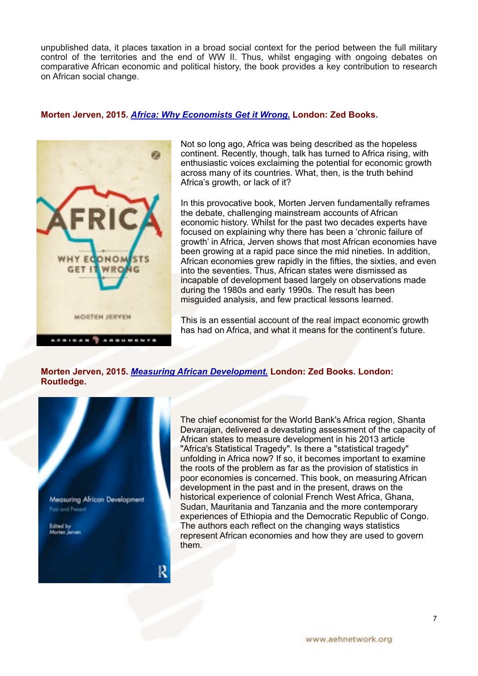unpublished data, it places taxation in a broad social context for the period between the full military control of the territories and the end of WW II. Thus, whilst engaging with ongoing debates on comparative African economic and political history, the book provides a key contribution to research on African social change.

## **Morten Jerven, 2015.** *[Africa: Why Economists Get it Wrong.](http://www.zedbooks.co.uk/node/22466)* **London: Zed Books.**



Not so long ago, Africa was being described as the hopeless continent. Recently, though, talk has turned to Africa rising, with enthusiastic voices exclaiming the potential for economic growth across many of its countries. What, then, is the truth behind Africa's growth, or lack of it?

In this provocative book, Morten Jerven fundamentally reframes the debate, challenging mainstream accounts of African economic history. Whilst for the past two decades experts have focused on explaining why there has been a 'chronic failure of growth' in Africa, Jerven shows that most African economies have been growing at a rapid pace since the mid nineties. In addition, African economies grew rapidly in the fifties, the sixties, and even into the seventies. Thus, African states were dismissed as incapable of development based largely on observations made during the 1980s and early 1990s. The result has been misguided analysis, and few practical lessons learned.

This is an essential account of the real impact economic growth has had on Africa, and what it means for the continent's future.

**Morten Jerven, 2015.** *[Measuring African Development.](https://www.routledge.com/products/9781138842113)* **London: Zed Books. London: Routledge.**



The chief economist for the World Bank's Africa region, Shanta Devarajan, delivered a devastating assessment of the capacity of African states to measure development in his 2013 article "Africa's Statistical Tragedy". Is there a "statistical tragedy" unfolding in Africa now? If so, it becomes important to examine the roots of the problem as far as the provision of statistics in poor economies is concerned. This book, on measuring African development in the past and in the present, draws on the historical experience of colonial French West Africa, Ghana, Sudan, Mauritania and Tanzania and the more contemporary experiences of Ethiopia and the Democratic Republic of Congo. The authors each reflect on the changing ways statistics represent African economies and how they are used to govern them.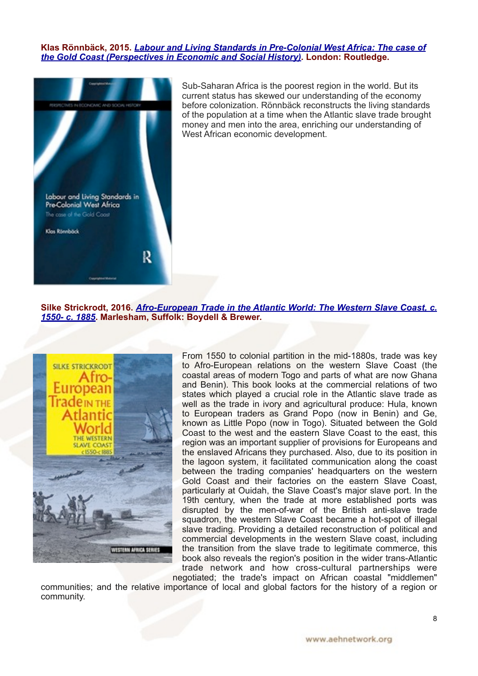#### **[Klas Rönnbäck](http://www.amazon.com/s/ref=dp_byline_sr_book_1?ie=UTF8&text=Klas+R%C3%B6nnb%C3%A4ck&search-alias=books&field-author=Klas+R%C3%B6nnb%C3%A4ck&sort=relevancerank), 2015.** *[Labour and Living Standards in Pre-Colonial West Africa: The case of](http://www.amazon.com/Labour-Living-Standards-Pre-Colonial-Africa/dp/1848935781)  [the Gold Coast \(Perspectives in Economic and Social History\)](http://www.amazon.com/Labour-Living-Standards-Pre-Colonial-Africa/dp/1848935781)***. London: Routledge.**



Sub-Saharan Africa is the poorest region in the world. But its current status has skewed our understanding of the economy before colonization. Rönnbäck reconstructs the living standards of the population at a time when the Atlantic slave trade brought money and men into the area, enriching our understanding of West African economic development.

**Silke Strickrodt, 2016.** *[Afro-European Trade in the Atlantic World: The Western Slave Coast, c.](http://www.boydellandbrewer.com/store/viewItem.asp?idProduct=14669) [1550- c. 1885](http://www.boydellandbrewer.com/store/viewItem.asp?idProduct=14669)***. Marlesham, Suffolk: Boydell & Brewer.**



From 1550 to colonial partition in the mid-1880s, trade was key to Afro-European relations on the western Slave Coast (the coastal areas of modern Togo and parts of what are now Ghana and Benin). This book looks at the commercial relations of two states which played a crucial role in the Atlantic slave trade as well as the trade in ivory and agricultural produce: Hula, known to European traders as Grand Popo (now in Benin) and Ge, known as Little Popo (now in Togo). Situated between the Gold Coast to the west and the eastern Slave Coast to the east, this region was an important supplier of provisions for Europeans and the enslaved Africans they purchased. Also, due to its position in the lagoon system, it facilitated communication along the coast between the trading companies' headquarters on the western Gold Coast and their factories on the eastern Slave Coast, particularly at Ouidah, the Slave Coast's major slave port. In the 19th century, when the trade at more established ports was disrupted by the men-of-war of the British anti-slave trade squadron, the western Slave Coast became a hot-spot of illegal slave trading. Providing a detailed reconstruction of political and commercial developments in the western Slave coast, including the transition from the slave trade to legitimate commerce, this book also reveals the region's position in the wider trans-Atlantic trade network and how cross-cultural partnerships were

negotiated; the trade's impact on African coastal "middlemen" communities; and the relative importance of local and global factors for the history of a region or community.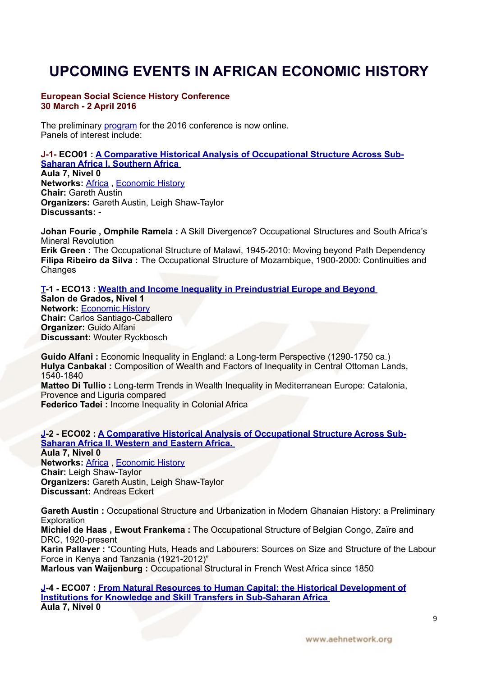# **UPCOMING EVENTS IN AFRICAN ECONOMIC HISTORY**

#### **European Social Science History Conference 30 March - 2 April 2016**

The preliminary [program](https://esshc.socialhistory.org/esshc-user/programme) for the 2016 conference is now online. Panels of interest include:

**J-1- ECO01 : [A Comparative Historical Analysis of Occupational Structure Across Sub-](https://esshc.socialhistory.org/esshc-user/programme?day=52&time=130&session=2947)[Saharan Africa I. Southern Africa](https://esshc.socialhistory.org/esshc-user/programme?day=52&time=130&session=2947)  Aula 7, Nivel 0 Networks: [Africa](https://esshc.socialhistory.org/esshc-user/programme?network=349), [Economic History](https://esshc.socialhistory.org/esshc-user/programme?network=354) Chair:** Gareth Austin

**Organizers:** Gareth Austin, Leigh Shaw-Taylor **Discussants:** -

**Johan Fourie , Omphile Ramela :** A Skill Divergence? Occupational Structures and South Africa's Mineral Revolution

**Erik Green :** The Occupational Structure of Malawi, 1945-2010: Moving beyond Path Dependency **Filipa Ribeiro da Silva :** The Occupational Structure of Mozambique, 1900-2000: Continuities and **Changes** 

**[T-](https://esshc.socialhistory.org/esshc-user/programme?room=236)1 - ECO13 : [Wealth and Income Inequality in Preindustrial Europe and Beyond](https://esshc.socialhistory.org/esshc-user/programme?day=52&time=130&session=2731)  Salon de Grados, Nivel 1 Network:** [Economic History](https://esshc.socialhistory.org/esshc-user/programme?network=354) **Chair:** Carlos Santiago-Caballero **Organizer:** Guido Alfani **Discussant:** Wouter Ryckbosch

Guido Alfani : Economic Inequality in England: a Long-term Perspective (1290-1750 ca.) **Hulya Canbakal :** Composition of Wealth and Factors of Inequality in Central Ottoman Lands, 1540-1840 **Matteo Di Tullio :** Long-term Trends in Wealth Inequality in Mediterranean Europe: Catalonia, Provence and Liguria compared

**Federico Tadei :** Income Inequality in Colonial Africa

#### **[J-](https://esshc.socialhistory.org/esshc-user/programme?room=226)2 - ECO02 : [A Comparative Historical Analysis of Occupational Structure Across Sub-](https://esshc.socialhistory.org/esshc-user/programme?day=52&time=131&session=2948)[Saharan Africa II. Western and Eastern Africa.](https://esshc.socialhistory.org/esshc-user/programme?day=52&time=131&session=2948)  Aula 7, Nivel 0**

**Networks:** [Africa](https://esshc.socialhistory.org/esshc-user/programme?network=349) , [Economic History](https://esshc.socialhistory.org/esshc-user/programme?network=354) **Chair:** Leigh Shaw-Taylor **Organizers:** Gareth Austin, Leigh Shaw-Taylor **Discussant:** Andreas Eckert

**Gareth Austin :** Occupational Structure and Urbanization in Modern Ghanaian History: a Preliminary **Exploration** 

**Michiel de Haas , Ewout Frankema :** The Occupational Structure of Belgian Congo, Zaïre and DRC, 1920-present

**Karin Pallaver :** "Counting Huts, Heads and Labourers: Sources on Size and Structure of the Labour Force in Kenya and Tanzania (1921-2012)"

**Marlous van Waijenburg :** Occupational Structural in French West Africa since 1850

**[J-](https://esshc.socialhistory.org/esshc-user/programme?room=226)4 - ECO07 : [From Natural Resources to Human Capital: the Historical Development of](https://esshc.socialhistory.org/esshc-user/programme?day=52&time=133&session=2740)  [Institutions for Knowledge and Skill Transfers in Sub-Saharan Africa](https://esshc.socialhistory.org/esshc-user/programme?day=52&time=133&session=2740)  Aula 7, Nivel 0**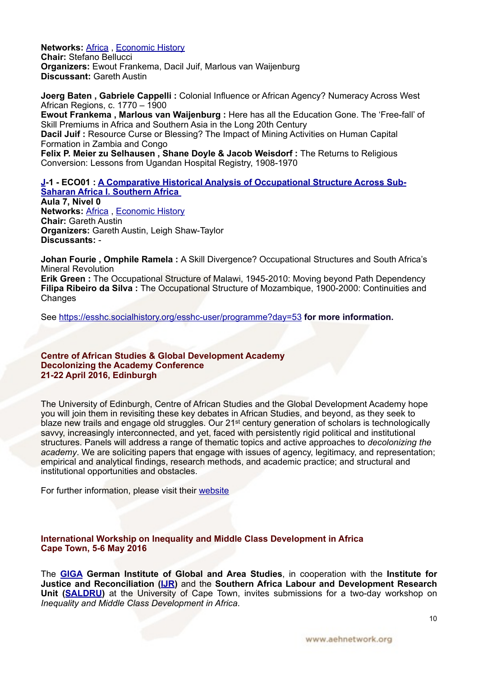**Networks:** [Africa](https://esshc.socialhistory.org/esshc-user/programme?network=349) , [Economic History](https://esshc.socialhistory.org/esshc-user/programme?network=354) **Chair:** Stefano Bellucci **Organizers:** Ewout Frankema, Dacil Juif, Marlous van Waijenburg **Discussant:** Gareth Austin

**Joerg Baten , Gabriele Cappelli :** Colonial Influence or African Agency? Numeracy Across West African Regions, c. 1770 – 1900 **Ewout Frankema , Marlous van Waijenburg :** Here has all the Education Gone. The 'Free-fall' of Skill Premiums in Africa and Southern Asia in the Long 20th Century **Dacil Juif :** Resource Curse or Blessing? The Impact of Mining Activities on Human Capital Formation in Zambia and Congo Felix P. Meier zu Selhausen, Shane Doyle & Jacob Weisdorf: The Returns to Religious Conversion: Lessons from Ugandan Hospital Registry, 1908-1970

**[J-](https://esshc.socialhistory.org/esshc-user/programme?room=226)1 - ECO01 : [A Comparative Historical Analysis of Occupational Structure Across Sub-](https://esshc.socialhistory.org/esshc-user/programme?day=52&time=130&session=2947)[Saharan Africa I. Southern Africa](https://esshc.socialhistory.org/esshc-user/programme?day=52&time=130&session=2947)  Aula 7, Nivel 0 Networks:** [Africa](https://esshc.socialhistory.org/esshc-user/programme?network=349) , [Economic History](https://esshc.socialhistory.org/esshc-user/programme?network=354) **Chair:** Gareth Austin **Organizers:** Gareth Austin, Leigh Shaw-Taylor **Discussants:** -

**Johan Fourie , Omphile Ramela :** A Skill Divergence? Occupational Structures and South Africa's Mineral Revolution

**Erik Green :** The Occupational Structure of Malawi, 1945-2010: Moving beyond Path Dependency **Filipa Ribeiro da Silva :** The Occupational Structure of Mozambique, 1900-2000: Continuities and **Changes** 

See<https://esshc.socialhistory.org/esshc-user/programme?day=53> **for more information.** 

#### **Centre of African Studies & Global Development Academy Decolonizing the Academy Conference 21-22 April 2016, Edinburgh**

The University of Edinburgh, Centre of African Studies and the Global Development Academy hope you will join them in revisiting these key debates in African Studies, and beyond, as they seek to blaze new trails and engage old struggles. Our 21<sup>st</sup> century generation of scholars is technologically savvy, increasingly interconnected, and yet, faced with persistently rigid political and institutional structures. Panels will address a range of thematic topics and active approaches to *decolonizing the academy*. We are soliciting papers that engage with issues of agency, legitimacy, and representation; empirical and analytical findings, research methods, and academic practice; and structural and institutional opportunities and obstacles.

For further information, please visit their [website](https://decolonizingtheacademy.wordpress.com/)

#### **International Workship on Inequality and Middle Class Development in Africa Cape Town, 5-6 May 2016**

The **[GIGA](https://giga.hamburg/en) German Institute of Global and Area Studies**, in cooperation with the **Institute for Justice and Reconciliation [\(IJR](http://www.ijr.org.za/))** and the **Southern Africa Labour and Development Research Unit [\(SALDRU\)](http://www.saldru.uct.ac.za/)** at the University of Cape Town, invites submissions for a two-day workshop on *Inequality and Middle Class Development in Africa*.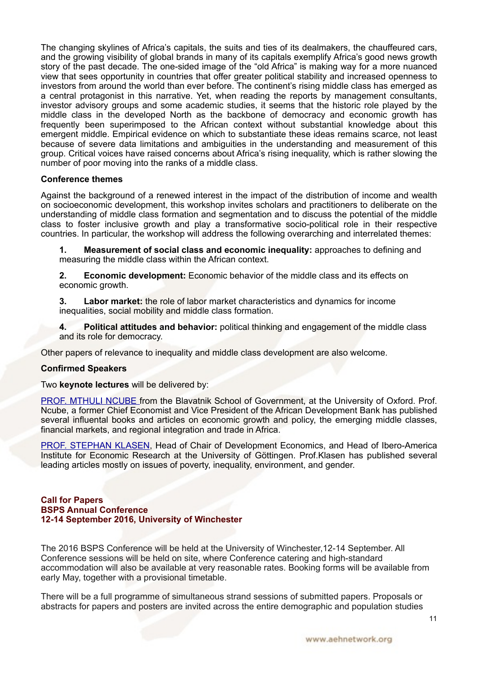The changing skylines of Africa's capitals, the suits and ties of its dealmakers, the chauffeured cars, and the growing visibility of global brands in many of its capitals exemplify Africa's good news growth story of the past decade. The one-sided image of the "old Africa" is making way for a more nuanced view that sees opportunity in countries that offer greater political stability and increased openness to investors from around the world than ever before. The continent's rising middle class has emerged as a central protagonist in this narrative. Yet, when reading the reports by management consultants, investor advisory groups and some academic studies, it seems that the historic role played by the middle class in the developed North as the backbone of democracy and economic growth has frequently been superimposed to the African context without substantial knowledge about this emergent middle. Empirical evidence on which to substantiate these ideas remains scarce, not least because of severe data limitations and ambiguities in the understanding and measurement of this group. Critical voices have raised concerns about Africa's rising inequality, which is rather slowing the number of poor moving into the ranks of a middle class.

#### **Conference themes**

Against the background of a renewed interest in the impact of the distribution of income and wealth on socioeconomic development, this workshop invites scholars and practitioners to deliberate on the understanding of middle class formation and segmentation and to discuss the potential of the middle class to foster inclusive growth and play a transformative socio-political role in their respective countries. In particular, the workshop will address the following overarching and interrelated themes:

**1. Measurement of social class and economic inequality:** approaches to defining and measuring the middle class within the African context.

**2. Economic development:** Economic behavior of the middle class and its effects on economic growth.

**3. Labor market:** the role of labor market characteristics and dynamics for income inequalities, social mobility and middle class formation.

**4. Political attitudes and behavior:** political thinking and engagement of the middle class and its role for democracy.

Other papers of relevance to inequality and middle class development are also welcome.

#### **Confirmed Speakers**

Two **keynote lectures** will be delivered by:

[PROF. MTHULI NCUBE f](http://www.bsg.ox.ac.uk/people/mthuli-ncube)rom the Blavatnik School of Government, at the University of Oxford. Prof. Ncube, a former Chief Economist and Vice President of the African Development Bank has published several influental books and articles on economic growth and policy, the emerging middle classes, financial markets, and regional integration and trade in Africa.

[PROF. STEPHAN KLASEN](https://www.uni-goettingen.de/en/64786.html), Head of Chair of Development Economics, and Head of Ibero-America Institute for Economic Research at the University of Göttingen. Prof.Klasen has published several leading articles mostly on issues of poverty, inequality, environment, and gender.

#### **Call for Papers BSPS Annual Conference 12-14 September 2016, University of Winchester**

The 2016 BSPS Conference will be held at the University of Winchester,12-14 September. All Conference sessions will be held on site, where Conference catering and high-standard accommodation will also be available at very reasonable rates. Booking forms will be available from early May, together with a provisional timetable.

There will be a full programme of simultaneous strand sessions of submitted papers. Proposals or abstracts for papers and posters are invited across the entire demographic and population studies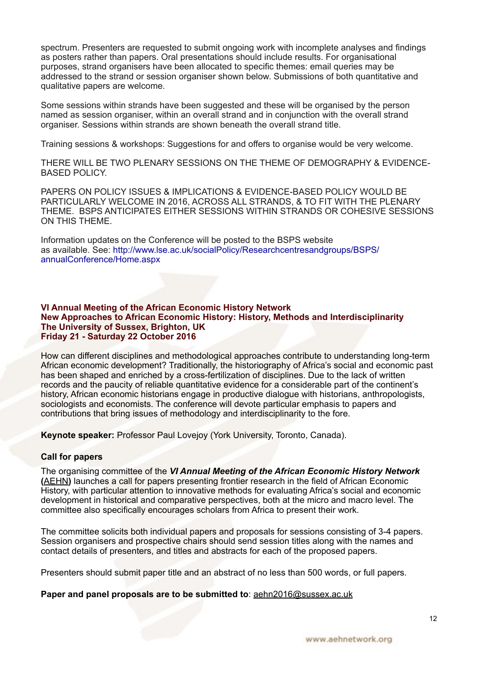spectrum. Presenters are requested to submit ongoing work with incomplete analyses and findings as posters rather than papers. Oral presentations should include results. For organisational purposes, strand organisers have been allocated to specific themes: email queries may be addressed to the strand or session organiser shown below. Submissions of both quantitative and qualitative papers are welcome.

Some sessions within strands have been suggested and these will be organised by the person named as session organiser, within an overall strand and in conjunction with the overall strand organiser. Sessions within strands are shown beneath the overall strand title.

Training sessions & workshops: Suggestions for and offers to organise would be very welcome.

THERE WILL BE TWO PLENARY SESSIONS ON THE THEME OF DEMOGRAPHY & EVIDENCE-BASED POLICY.

PAPERS ON POLICY ISSUES & IMPLICATIONS & EVIDENCE-BASED POLICY WOULD BE PARTICULARLY WELCOME IN 2016, ACROSS ALL STRANDS, & TO FIT WITH THE PLENARY THEME. BSPS ANTICIPATES EITHER SESSIONS WITHIN STRANDS OR COHESIVE SESSIONS ON THIS THEME.

Information updates on the Conference will be posted to the BSPS website as available. See: [http://www.lse.ac.uk/socialPolicy/Researchcentresandgroups/BSPS/](http://www.lse.ac.uk/socialPolicy/Researchcentresandgroups/BSPS/annualConference/Home.aspx) [annualConference/Home.aspx](http://www.lse.ac.uk/socialPolicy/Researchcentresandgroups/BSPS/annualConference/Home.aspx)

#### **VI Annual Meeting of the African Economic History Network New Approaches to African Economic History: History, Methods and Interdisciplinarity The University of Sussex, Brighton, UK Friday 21 - Saturday 22 October 2016**

How can different disciplines and methodological approaches contribute to understanding long-term African economic development? Traditionally, the historiography of Africa's social and economic past has been shaped and enriched by a cross-fertilization of disciplines. Due to the lack of written records and the paucity of reliable quantitative evidence for a considerable part of the continent's history, African economic historians engage in productive dialogue with historians, anthropologists, sociologists and economists. The conference will devote particular emphasis to papers and contributions that bring issues of methodology and interdisciplinarity to the fore.

**Keynote speaker:** Professor Paul Lovejoy (York University, Toronto, Canada).

## **Call for papers**

The organising committee of the *VI Annual Meeting of the African Economic History Network* **(**[AEHN](http://www.aehnetwork.org/)**)** launches a call for papers presenting frontier research in the field of African Economic History, with particular attention to innovative methods for evaluating Africa's social and economic development in historical and comparative perspectives, both at the micro and macro level. The committee also specifically encourages scholars from Africa to present their work.

The committee solicits both individual papers and proposals for sessions consisting of 3-4 papers. Session organisers and prospective chairs should send session titles along with the names and contact details of presenters, and titles and abstracts for each of the proposed papers.

Presenters should submit paper title and an abstract of no less than 500 words, or full papers.

**Paper and panel proposals are to be submitted to**: [aehn2016@sussex.ac.uk](mailto:aehn2016@sussex.ac.uk)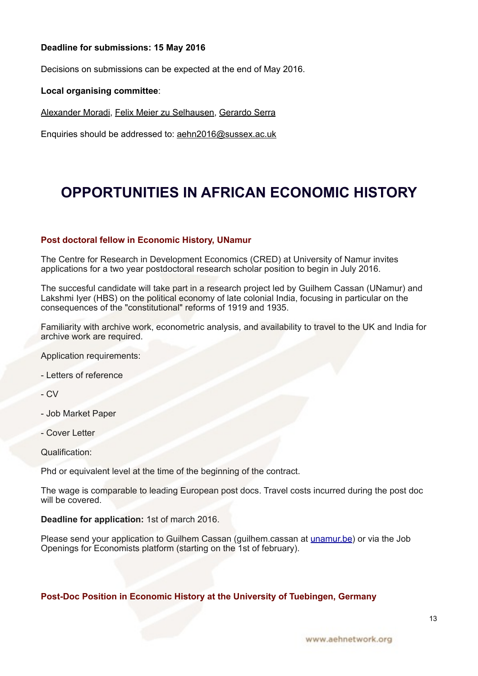## **Deadline for submissions: 15 May 2016**

Decisions on submissions can be expected at the end of May 2016.

#### **Local organising committee**:

[Alexander Moradi](http://www.sussex.ac.uk/profiles/224840), [Felix Meier zu Selhausen,](http://www.sussex.ac.uk/profiles/361513) [Gerardo Serra](http://www.sussex.ac.uk/profiles/350152)

Enquiries should be addressed to: [aehn2016@sussex.ac.uk](mailto:aehn2016@sussex.ac.uk)

# <span id="page-12-0"></span>**OPPORTUNITIES IN AFRICAN ECONOMIC HISTORY**

## **Post doctoral fellow in Economic History, UNamur**

The Centre for Research in Development Economics (CRED) at University of Namur invites applications for a two year postdoctoral research scholar position to begin in July 2016.

The succesful candidate will take part in a research project led by Guilhem Cassan (UNamur) and Lakshmi Iyer (HBS) on the political economy of late colonial India, focusing in particular on the consequences of the "constitutional" reforms of 1919 and 1935.

Familiarity with archive work, econometric analysis, and availability to travel to the UK and India for archive work are required.

Application requirements:

- Letters of reference

- CV

- Job Market Paper
- Cover Letter

Qualification:

Phd or equivalent level at the time of the beginning of the contract.

The wage is comparable to leading European post docs. Travel costs incurred during the post doc will be covered.

#### **Deadline for application:** 1st of march 2016.

Please send your application to Guilhem Cassan (guilhem.cassan at [unamur.be\)](http://unamur.be/) or via the Job Openings for Economists platform (starting on the 1st of february).

## **Post-Doc Position in Economic History at the University of Tuebingen, Germany**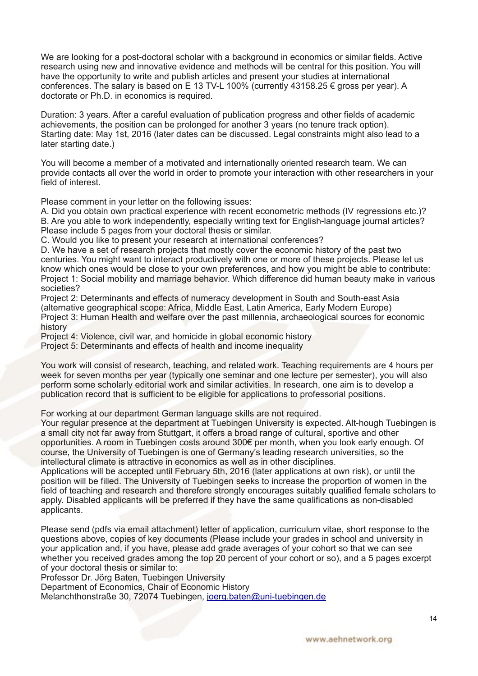We are looking for a post-doctoral scholar with a background in economics or similar fields. Active research using new and innovative evidence and methods will be central for this position. You will have the opportunity to write and publish articles and present your studies at international conferences. The salary is based on E 13 TV-L 100% (currently 43158.25 € gross per year). A doctorate or Ph.D. in economics is required.

Duration: 3 years. After a careful evaluation of publication progress and other fields of academic achievements, the position can be prolonged for another 3 years (no tenure track option). Starting date: May 1st, 2016 (later dates can be discussed. Legal constraints might also lead to a later starting date.)

You will become a member of a motivated and internationally oriented research team. We can provide contacts all over the world in order to promote your interaction with other researchers in your field of interest.

Please comment in your letter on the following issues:

A. Did you obtain own practical experience with recent econometric methods (IV regressions etc.)? B. Are you able to work independently, especially writing text for English-language journal articles? Please include 5 pages from your doctoral thesis or similar.

C. Would you like to present your research at international conferences?

D. We have a set of research projects that mostly cover the economic history of the past two centuries. You might want to interact productively with one or more of these projects. Please let us know which ones would be close to your own preferences, and how you might be able to contribute: Project 1: Social mobility and marriage behavior. Which difference did human beauty make in various societies?

Project 2: Determinants and effects of numeracy development in South and South-east Asia (alternative geographical scope: Africa, Middle East, Latin America, Early Modern Europe) Project 3: Human Health and welfare over the past millennia, archaeological sources for economic history

Project 4: Violence, civil war, and homicide in global economic history

Project 5: Determinants and effects of health and income inequality

You work will consist of research, teaching, and related work. Teaching requirements are 4 hours per week for seven months per year (typically one seminar and one lecture per semester), you will also perform some scholarly editorial work and similar activities. In research, one aim is to develop a publication record that is sufficient to be eligible for applications to professorial positions.

For working at our department German language skills are not required.

Your regular presence at the department at Tuebingen University is expected. Alt-hough Tuebingen is a small city not far away from Stuttgart, it offers a broad range of cultural, sportive and other opportunities. A room in Tuebingen costs around 300€ per month, when you look early enough. Of course, the University of Tuebingen is one of Germany's leading research universities, so the intellectural climate is attractive in economics as well as in other disciplines.

Applications will be accepted until February 5th, 2016 (later applications at own risk), or until the position will be filled. The University of Tuebingen seeks to increase the proportion of women in the field of teaching and research and therefore strongly encourages suitably qualified female scholars to apply. Disabled applicants will be preferred if they have the same qualifications as non-disabled applicants.

Please send (pdfs via email attachment) letter of application, curriculum vitae, short response to the questions above, copies of key documents (Please include your grades in school and university in your application and, if you have, please add grade averages of your cohort so that we can see whether you received grades among the top 20 percent of your cohort or so), and a 5 pages excerpt of your doctoral thesis or similar to:

Professor Dr. Jörg Baten, Tuebingen University

Department of Economics, Chair of Economic History

Melanchthonstraße 30, 72074 Tuebingen, [joerg.baten@uni-tuebingen.de](mailto:joerg.baten@uni-tuebingen.de)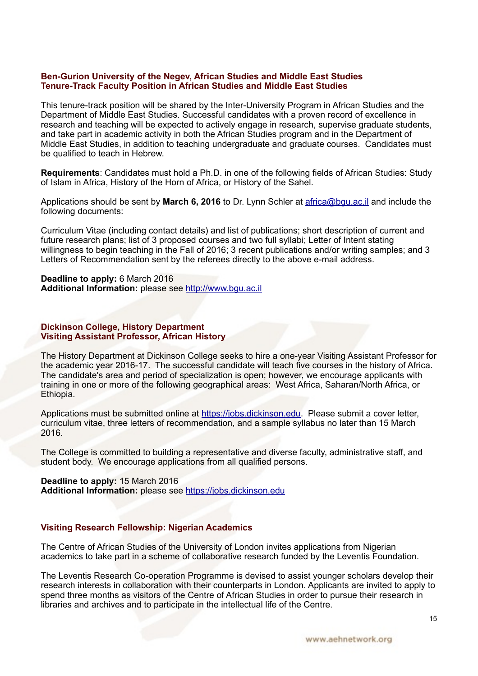#### **Ben-Gurion University of the Negev, African Studies and Middle East Studies Tenure-Track Faculty Position in African Studies and Middle East Studies**

This tenure-track position will be shared by the Inter-University Program in African Studies and the Department of Middle East Studies. Successful candidates with a proven record of excellence in research and teaching will be expected to actively engage in research, supervise graduate students, and take part in academic activity in both the African Studies program and in the Department of Middle East Studies, in addition to teaching undergraduate and graduate courses. Candidates must be qualified to teach in Hebrew.

**Requirements**: Candidates must hold a Ph.D. in one of the following fields of African Studies: Study of Islam in Africa, History of the Horn of Africa, or History of the Sahel.

Applications should be sent by **March 6, 2016** to Dr. Lynn Schler at [africa@bgu.ac.il](mailto:africa@bgu.ac.il) and include the following documents:

Curriculum Vitae (including contact details) and list of publications; short description of current and future research plans; list of 3 proposed courses and two full syllabi; Letter of Intent stating willingness to begin teaching in the Fall of 2016; 3 recent publications and/or writing samples; and 3 Letters of Recommendation sent by the referees directly to the above e-mail address.

**Deadline to apply:** 6 March 2016 **Additional Information:** please see [http://www.bgu.ac.il](http://www.bgu.ac.il/)

## **Dickinson College, History Department Visiting Assistant Professor, African History**

The History Department at Dickinson College seeks to hire a one-year Visiting Assistant Professor for the academic year 2016-17. The successful candidate will teach five courses in the history of Africa. The candidate's area and period of specialization is open; however, we encourage applicants with training in one or more of the following geographical areas: West Africa, Saharan/North Africa, or Ethiopia.

Applications must be submitted online at <https://jobs.dickinson.edu>. Please submit a cover letter, curriculum vitae, three letters of recommendation, and a sample syllabus no later than 15 March 2016.

The College is committed to building a representative and diverse faculty, administrative staff, and student body. We encourage applications from all qualified persons.

**Deadline to apply:** 15 March 2016 **Additional Information:** please see [https://jobs.dickinson.edu](https://jobs.dickinson.edu/)

## **Visiting Research Fellowship: Nigerian Academics**

The Centre of African Studies of the University of London invites applications from Nigerian academics to take part in a scheme of collaborative research funded by the Leventis Foundation.

The Leventis Research Co-operation Programme is devised to assist younger scholars develop their research interests in collaboration with their counterparts in London. Applicants are invited to apply to spend three months as visitors of the Centre of African Studies in order to pursue their research in libraries and archives and to participate in the intellectual life of the Centre.